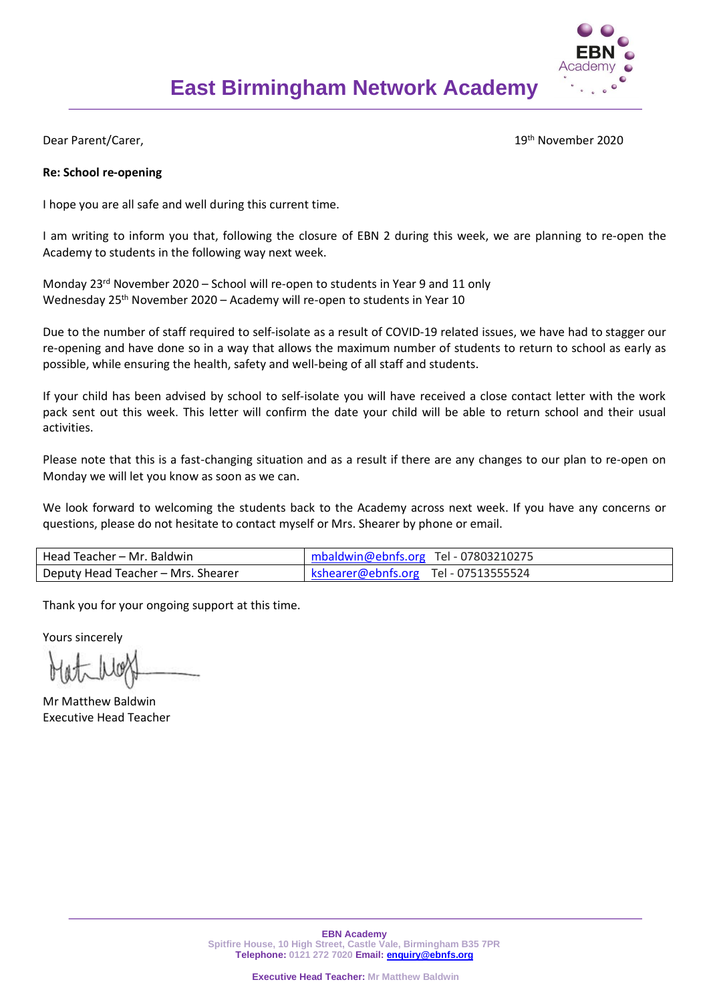

Dear Parent/Carer,

19<sup>th</sup> November 2020

### **Re: School re-opening**

I hope you are all safe and well during this current time.

I am writing to inform you that, following the closure of EBN 2 during this week, we are planning to re-open the Academy to students in the following way next week.

Monday 23<sup>rd</sup> November 2020 – School will re-open to students in Year 9 and 11 only Wednesday 25<sup>th</sup> November 2020 – Academy will re-open to students in Year 10

Due to the number of staff required to self-isolate as a result of COVID-19 related issues, we have had to stagger our re-opening and have done so in a way that allows the maximum number of students to return to school as early as possible, while ensuring the health, safety and well-being of all staff and students.

If your child has been advised by school to self-isolate you will have received a close contact letter with the work pack sent out this week. This letter will confirm the date your child will be able to return school and their usual activities.

Please note that this is a fast-changing situation and as a result if there are any changes to our plan to re-open on Monday we will let you know as soon as we can.

We look forward to welcoming the students back to the Academy across next week. If you have any concerns or questions, please do not hesitate to contact myself or Mrs. Shearer by phone or email.

| Head Teacher – Mr. Baldwin         | mbaldwin@ebnfs.org Tel - 07803210275 |
|------------------------------------|--------------------------------------|
| Deputy Head Teacher - Mrs. Shearer | kshearer@ebnfs.org Tel - 07513555524 |

Thank you for your ongoing support at this time.

Yours sincerely

Mr Matthew Baldwin Executive Head Teacher